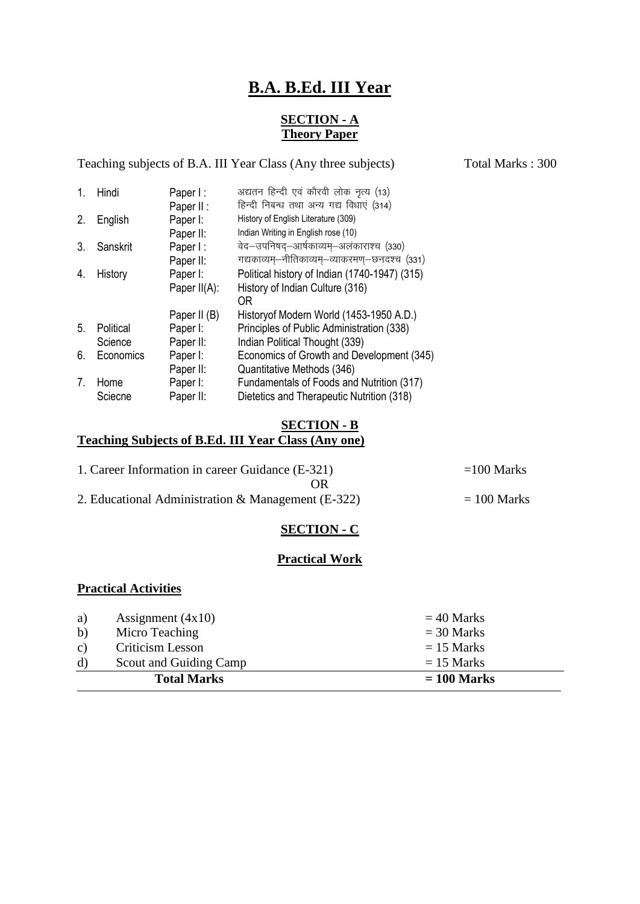# **B.A. B.Ed. III Year**

## **SECTION - A Theory Paper**

Teaching subjects of B.A. III Year Class (Any three subjects) Total Marks : 300 1. Hindi Paper I : v|ru fgUnh ,oa dkSjoh yksd u`R; ¼13½ Paper II : Fिन्दी निबन्ध तथा अन्य गद्य विधाएं (314)<br>Paner I: History of English Literature (309) 2. English Paper I: History of English Literature (309)

| ---------- | .            |                                                |
|------------|--------------|------------------------------------------------|
|            | Paper II:    | Indian Writing in English rose (10)            |
| Sanskrit   | Paper I:     | वेद–उपनिषद्–आर्षकाव्यम्–अलंकाराश्च (330)       |
|            | Paper II:    | गद्यकाव्यम्–नीतिकाव्यम्–व्याकरमण्–छनदश्च (331) |
| History    | Paper I:     | Political history of Indian (1740-1947) (315)  |
|            | Paper II(A): | History of Indian Culture (316)                |
|            |              | 0R                                             |
|            | Paper II (B) | Historyof Modern World (1453-1950 A.D.)        |
| Political  | Paper I:     | Principles of Public Administration (338)      |
| Science    | Paper II:    | Indian Political Thought (339)                 |
| Economics  | Paper I:     | Economics of Growth and Development (345)      |
|            | Paper II:    | Quantitative Methods (346)                     |
| Home       | Paper I:     | Fundamentals of Foods and Nutrition (317)      |
| Sciecne    | Paper II:    | Dietetics and Therapeutic Nutrition (318)      |
|            |              |                                                |

## **SECTION - B Teaching Subjects of B.Ed. III Year Class (Any one)**

| 1. Career Information in career Guidance (E-321)   | $=100$ Marks  |
|----------------------------------------------------|---------------|
| OR)                                                |               |
| 2. Educational Administration & Management (E-322) | $= 100$ Marks |

# **SECTION - C**

## **Practical Work**

## **Practical Activities**

| a)           | Assignment $(4x10)$    | $=$ 40 Marks  |
|--------------|------------------------|---------------|
| $\mathbf{b}$ | Micro Teaching         | $=$ 30 Marks  |
| c)           | Criticism Lesson       | $= 15$ Marks  |
| d)           | Scout and Guiding Camp | $= 15$ Marks  |
|              | <b>Total Marks</b>     | $= 100$ Marks |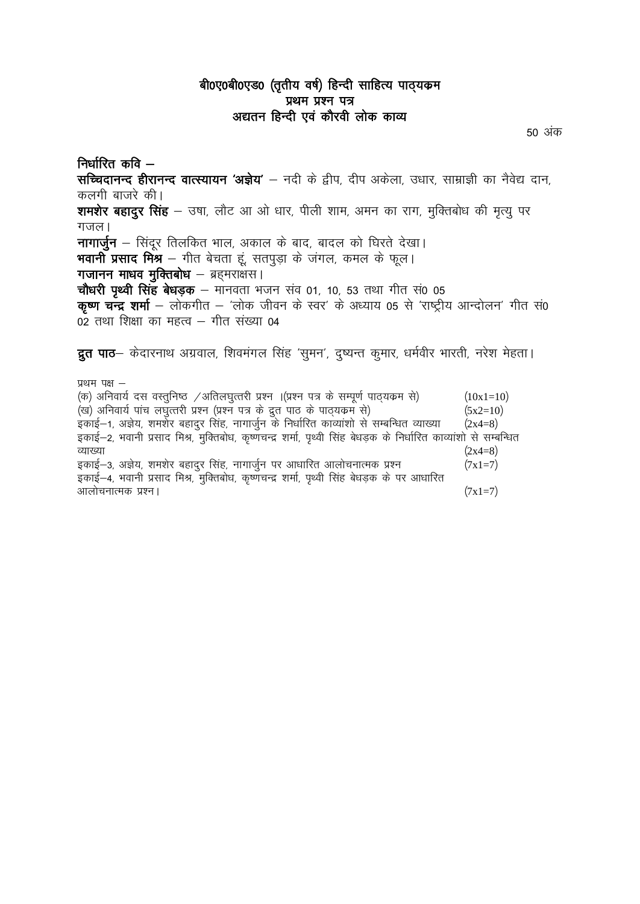# बी0ए0बी0एड0 (तृतीय वर्ष) हिन्दी साहित्य पाठ्यक्रम प्रथम प्रश्न पत्र अद्यतन हिन्दी एवं कौरवी लोक काव्य

50 अंक

निर्धारित कवि $-$ सच्चिदानन्द हीरानन्द वात्स्यायन 'अज्ञेय' – नदी के द्वीप, दीप अकेला, उधार, साम्राज्ञी का नैवेद्य दान, कलगी बाजरे की। शमशेर बहादुर सिंह – उषा, लौट आ ओ धार, पीली शाम, अमन का राग, मुक्तिबोध की मृत्यु पर गजल। नागार्जुन – सिंदर तिलकित भाल, अकाल के बाद, बादल को घिरते देखा। भवानी प्रसाद मिश्र – गीत बेचता हूं, सतपुड़ा के जंगल, कमल के फूल। गजानन माधव मुक्तिबोध - ब्रहमराक्षस। चौधरी पृथ्वी सिंह बेधड़क – मानवता भजन संव 01, 10, 53 तथा गीत सं0 05 कृष्ण चन्द्र शर्मा – लोकगीत – 'लोक जीवन के स्वर' के अध्याय 05 से 'राष्ट्रीय आन्दोलन' गीत सं0 02 तथा शिक्षा का महत्व – गीत संख्या 04

द्रुत पाठ- केदारनाथ अग्रवाल, शिवमंगल सिंह 'सुमन', दुष्यन्त कुमार, धर्मवीर भारती, नरेश मेहता।

प्रथम पक्ष  $-$ (क) अनिवार्य दस वस्तुनिष्ठ /अतिलघुत्तरी प्रश्न ।(प्रश्न पत्र के सम्पूर्ण पाठ्यक्रम से)  $(10x1=10)$ (ख) अनिवार्य पांच लघुत्तरी प्रश्न (प्रश्न पत्र के द्रुत पाठ के पाठ्यकम से)  $(5x2=10)$ इकाई-1, अज्ञेय, शमर्शेर बहादुर सिंह, नागार्जुन के निर्धारित काव्याशो से सम्बन्धित व्याख्या  $(2x4=8)$ इकाई-2, भवानी प्रसाद मिश्र, मुक्तिबोध, कृष्णचन्द्र शर्मा, पृथ्वी सिंह बेधड़क के निर्धारित काव्यांशो से सम्बन्धित व्याख्या  $(2x4=8)$ इकाई–3, अज्ञेय, शमशेर बहादुर सिंह, नागार्जुन पर आधारित आलोचनात्मक प्रश्न  $(7x1=7)$ इकाई-4, भवानी प्रसाद मिश्र, मुक्तिबोध, कृष्णचन्द्र शर्मा, पृथ्वी सिंह बेधडक के पर आधारित आलोचनात्मक प्रश्न।  $(7x1=7)$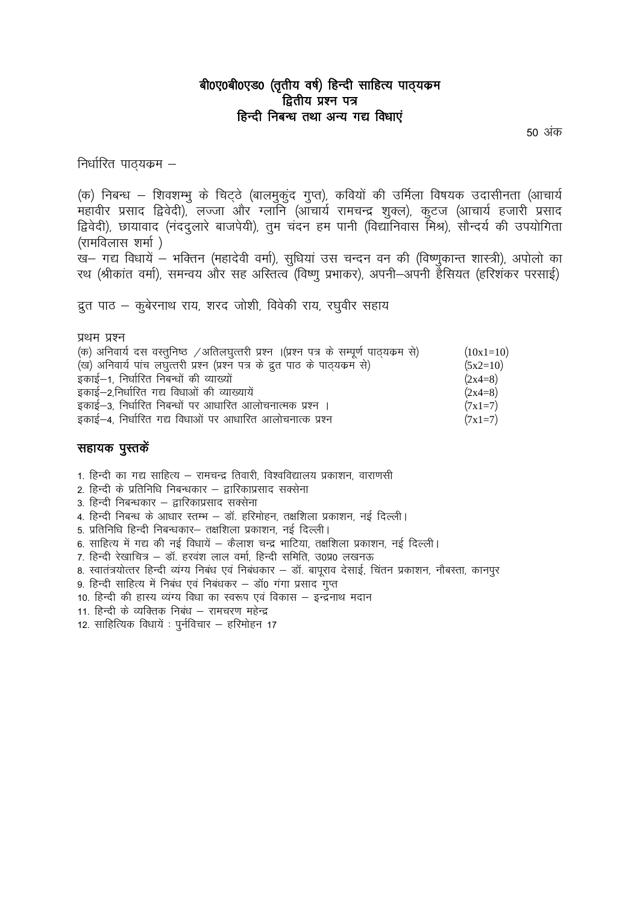# बी0ए0बी0एड0 (तृतीय वर्ष) हिन्दी साहित्य पाठ्यक्रम द्वितीय प्रश्न पत्र हिन्दी निबन्ध तथा अन्य गद्य विधाएं

50 अंक

निर्धारित पाठ्यक्रम –

(क) निबन्ध – शिवशम्भू के चिट्ठे (बालमुकूंद गुप्त), कवियों की उर्मिला विषयक उदासीनता (आचार्य ्.<br>महावीर प्रसाद द्विवेदी), लज्जा और ग्लानि (ऑचार्य रामचन्द्र शुक्ल), कुटज (आचार्य हजारी प्रसाद द्विवेदी), छायावाद (नंदद्लारे बाजपेयी), तुम चंदन हम पानी (विद्यानिवास मिश्र), सौन्दर्य की उपयोगिता (रामविलास शर्मा)

ख- गद्य विधायें – भक्तिन (महादेवी वर्मा), सुधियां उस चन्दन वन की (विष्णुकान्त शास्त्री), अपोलो का रथ (श्रीकांत वर्मा), समन्वय और सह अस्तित्व (विष्णु प्रभाकर), अपनी–अपनी हैंसियत (हरिशंकर परसाई)

द्रुत पाठ – कुबेरनाथ राय, शरद जोशी, विवेकी राय, रघुवीर सहाय

| (ख) अनिवार्य पांच लघुत्तरी प्रश्न (प्रश्न पत्र के द्रुत पाठ के पाठ्यकर्म से)<br>$(5x2=10)$<br>इकाई-1, निर्धारित निबन्धों की व्याख्यों<br>$(2x4=8)$<br>इकाई-2,निर्धारित गद्य विधाओं की व्याख्यायें<br>$(2x4=8)$<br>इकाई-3, निर्धारित निबन्धों पर आधारित आलोचनात्मक प्रश्न ।<br>$(7x1=7)$ | $(10x1=10)$ |
|-----------------------------------------------------------------------------------------------------------------------------------------------------------------------------------------------------------------------------------------------------------------------------------------|-------------|
|                                                                                                                                                                                                                                                                                         |             |
| इकाई-4, निर्धारित गद्य विधाओं पर आधारित आलोचनात्क प्रश्न<br>$(7x1=7)$                                                                                                                                                                                                                   |             |

## सहायक पुस्तकें

1. हिन्दी का गद्य साहित्य – रामचन्द्र तिवारी, विश्वविद्यालय प्रकाशन, वाराणसी

2. हिन्दी के प्रतिनिधि निबन्धकार – द्वारिकाप्रसाद सक्सेना

3. हिन्दी निबन्धकार – द्वारिकाप्रसाद सक्सेना

4. हिन्दी निबन्ध के आधार स्तम्भ – डॉ. हरिमोहन, तक्षशिला प्रकाशन, नई दिल्ली।

5. प्रतिनिधि हिन्दी निबन्धकार– तक्षशिला प्रकाशन, नई दिल्ली।

6. साहित्य में गद्य की नई विधायें – कैलाश चन्द्र भाटिया, तक्षशिला प्रकाशन, नई दिल्ली।

7. हिन्दी रेखाचित्र – डॉ. हरवंश लाल वर्मा, हिन्दी समिति, उ0प्र0 लखनऊ

8. स्वातंत्रयोत्तर हिन्दी व्यंग्य निबंध एवं निबंधकार – डॉ. बापूराव देसाई, चिंतन प्रकाशन, नौबस्ता, कानपुर

9. हिन्दी साहित्य में निबंध एवं निबंधकर – डाॅ0 गंगा प्रसाद गुप्त

10. हिन्दी की हास्य व्यंग्य विधा का स्वरूप एवं विकास – इन्द्रनाथ मदान

- 11. हिन्दी के व्यक्तिक निबंध रामचरण महेन्द्र
- 12. साहित्यिक विधायें : पुर्नविचार हरिमोहन 17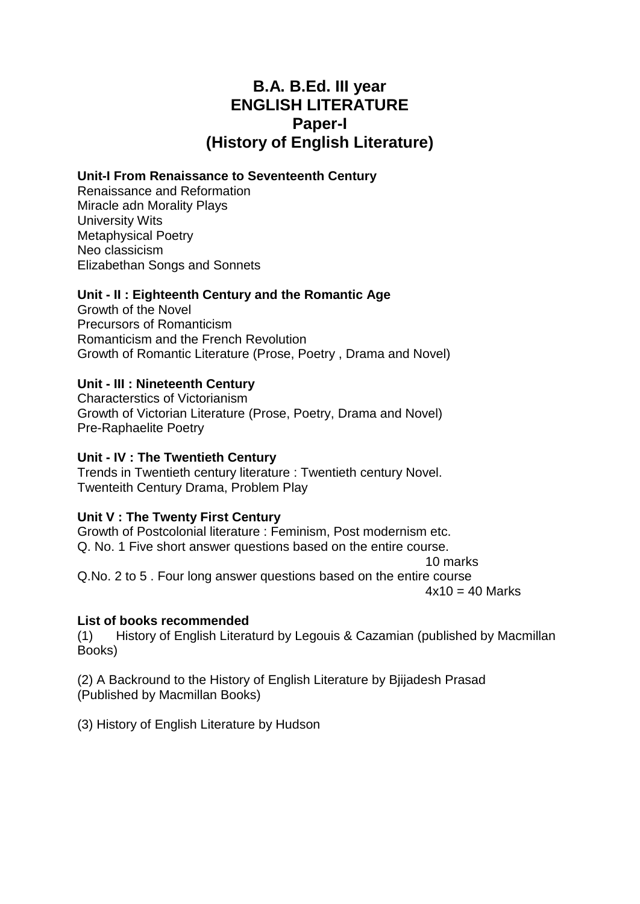# **B.A. B.Ed. III year ENGLISH LITERATURE Paper-I (History of English Literature)**

# **Unit-I From Renaissance to Seventeenth Century**

Renaissance and Reformation Miracle adn Morality Plays University Wits Metaphysical Poetry Neo classicism Elizabethan Songs and Sonnets

# **Unit - II : Eighteenth Century and the Romantic Age**

Growth of the Novel Precursors of Romanticism Romanticism and the French Revolution Growth of Romantic Literature (Prose, Poetry , Drama and Novel)

# **Unit - III : Nineteenth Century**

Characterstics of Victorianism Growth of Victorian Literature (Prose, Poetry, Drama and Novel) Pre-Raphaelite Poetry

# **Unit - IV : The Twentieth Century**

Trends in Twentieth century literature : Twentieth century Novel. Twenteith Century Drama, Problem Play

# **Unit V : The Twenty First Century**

Growth of Postcolonial literature : Feminism, Post modernism etc. Q. No. 1 Five short answer questions based on the entire course. 10 marks

Q.No. 2 to 5 . Four long answer questions based on the entire course  $4x10 = 40$  Marks

# **List of books recommended**

(1) History of English Literaturd by Legouis & Cazamian (published by Macmillan Books)

(2) A Backround to the History of English Literature by Bjijadesh Prasad (Published by Macmillan Books)

(3) History of English Literature by Hudson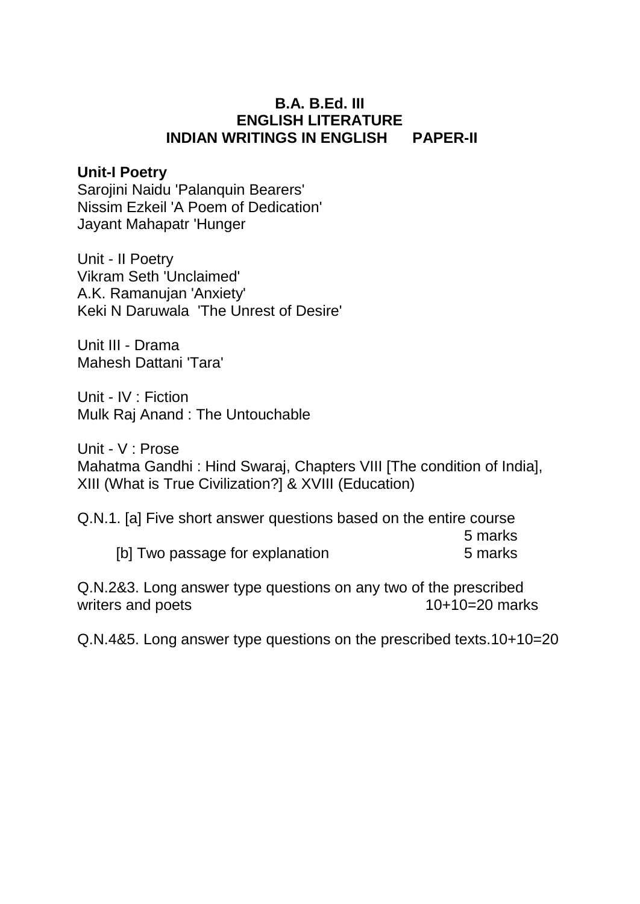# **B.A. B.Ed. III ENGLISH LITERATURE INDIAN WRITINGS IN ENGLISH PAPER-II**

# **Unit-I Poetry**

Sarojini Naidu 'Palanquin Bearers' Nissim Ezkeil 'A Poem of Dedication' Jayant Mahapatr 'Hunger

Unit - II Poetry Vikram Seth 'Unclaimed' A.K. Ramanujan 'Anxiety' Keki N Daruwala 'The Unrest of Desire'

Unit III - Drama Mahesh Dattani 'Tara'

Unit - IV : Fiction Mulk Raj Anand : The Untouchable

Unit - V : Prose Mahatma Gandhi : Hind Swaraj, Chapters VIII [The condition of India], XIII (What is True Civilization?] & XVIII (Education)

Q.N.1. [a] Five short answer questions based on the entire course 5 marks [b] Two passage for explanation 5 marks

Q.N.2&3. Long answer type questions on any two of the prescribed writers and poets 10+10=20 marks

Q.N.4&5. Long answer type questions on the prescribed texts.10+10=20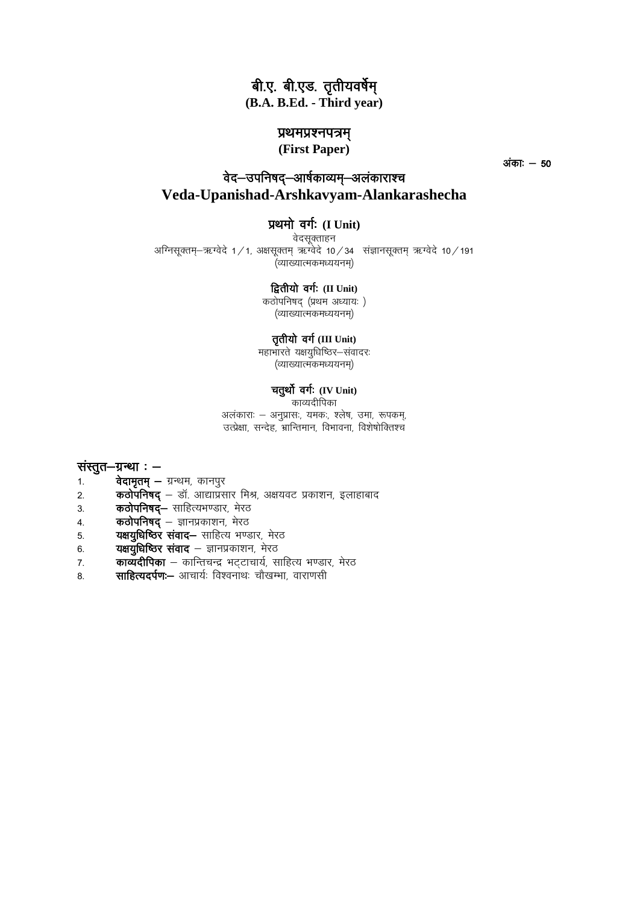# बी.ए. बी.एड. तृतीयवर्षेम् **(B.A. B.Ed. - Third year)**

## प्रथमप्रश्नपत्रम्

**(First Paper)**

 $\frac{1}{300}$   $-50$ 

# वेद–उपनिषद–आर्षकाव्यम–अलंकाराश्च **Veda-Upanishad-Arshkavyam-Alankarashecha**

## प्रथमो वर्गः (I Unit)

वेदसक्ताहन अग्निसूक्तम्-ऋग्वेदे 1/1, अक्षसूक्तम् ऋग्वेदे 10/34 संज्ञानसूक्तम् ऋग्वेदे 10/191 ्<br>(व्याख्यात्मकमध्ययनम)

#### *द्वितीयो वर्गः (II Unit)*

कठोपनिषद (प्रथम अध्यायः)  $($ व्याख्यात्मकमध्ययनम $)$ 

## तृतीयो वर्ग (III Unit)

महाभारते यक्षयुधिष्ठिर-संवादरः (व्याख्यात्मकमध्ययनम)

# चतुर्थो वर्गः (IV Unit)

काव्यदीपिका अलंकाराः – अनुप्रासः, यमकः, श्लेष, उमा, रूपकम्, उत्प्रेक्षा, सन्देह, भ्रान्तिमान, विभावना, विशेषोक्तिश्च

#### संस्तूत $-$ ग्रन्था:  $-$

- 1. **वेदामृतम् –** ग्रन्थम, कानपुर
- 2. **कठोपनिषद्** डॉ. आद्याप्रसार मिश्र, अक्षयवट प्रकाशन, इलाहाबाद
- 3. कठोपनिषद्– साहित्यभण्डार, मेरठ
- 4. **कठोपनिषद्** ज्ञानप्रकाशन, मेरठ
- 5. **यक्षयुधिष्ठिर संवाद—** साहित्य भण्डार, मेरठ
- 6. **यक्षयुधिष्ठिर संवाद** ज्ञानप्रकाशन, मेरठ
- 7. **काव्यदीपिका** कान्तिचन्द्र भट्टाचार्य, साहित्य भण्डार, मेरठ
- 8. **साहित्यदर्पण:-** आचार्यः विश्वनाथः चौखम्भा, वाराणसी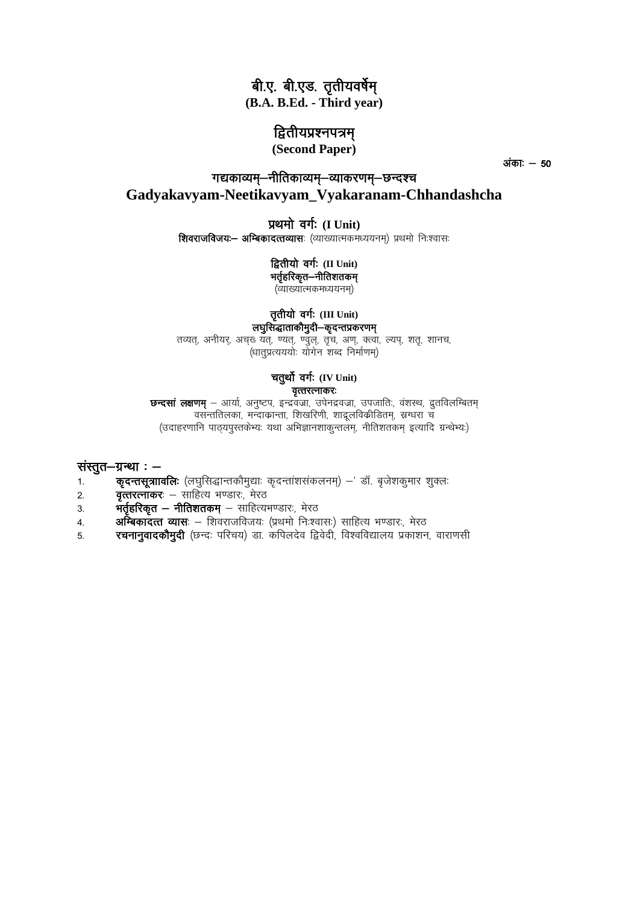# बी.ए. बी.एड. तृतीयवर्षेम्

(B.A. B.Ed. - Third vear)

# द्वितीयप्रश्नपत्रम

(Second Paper)

अंका: **–** 50

# गद्यकाव्यम्–नीतिकाव्यम्–व्याकरणम्–छन्दश्च Gadvakavvam-Neetikavvam Vvakaranam-Chhandashcha

## प्रथमो वर्गः (I Unit)

शिवराजविजयः- अम्बिकादत्तव्यासः (व्याख्यात्मकमध्ययनम) प्रथमो निःश्वासः

#### द्वितीयो वर्गः (II Unit) भर्तृहरिकृत-नीतिशतकम्

्ट<br>(व्याख्यात्मकमध्ययनम)

# तृतीयो वर्गः (III Unit)

लघुसिद्धाताकौमुदी–कूदन्तप्रकरणम् तव्यत्, अनीयर्, अचुर्ख् यत्, ण्यत्, ण्वुल्, तृच, अण्, क्त्वा, ल्यप्, शत्, शानच, .<br>(धातुप्रत्यययोः योगेन शब्द निर्माणम्)

## चतुर्थो वर्गः (IV Unit) वृत्तरत्नाकरः

छन्दसां लक्षणम् – आर्या, अनुष्टप, इन्द्रवज्रा, उपेनद्रवज्रा, उपजातिः, वंशस्थ, द्रुतविलम्बितम् वसन्ततिलका, मन्दाकान्ता, शिखरिणी, शाद्रूलविकीडितम्, स्रग्धरा च (उदाहरणानि पाठयपुस्तकेभ्यः यथा अभिज्ञानशाकुन्तलम्, नीतिशतकम् इत्यादि ग्रन्थेभ्यः)

## संस्तुत $-$ ग्रन्था:  $-$

- कृदन्तसूत्राावलिः (लघुसिद्धान्तकौमुद्याः कृदन्तांशसंकलनम्) डॉ. बृजेशकुमार शुक्लः  $1.$
- **वृत्तरत्नाकर**: साहित्य भण्डार:, मेरठ  $2.$
- **भर्तृहरिकृत नीतिशतकम्** साहित्यभण्डारः, मेरठ 3.
- अम्बिकादत्त व्यासः शिवराजविजयः (प्रथमो निःश्वासः) साहित्य भण्डारः, मेरठ  $\overline{4}$ .
- रचनानुवादकौमुदी (छन्दः परिचय) डा. कपिलदेव द्विवेदी, विश्वविद्यालय प्रकाशन, वाराणसी 5.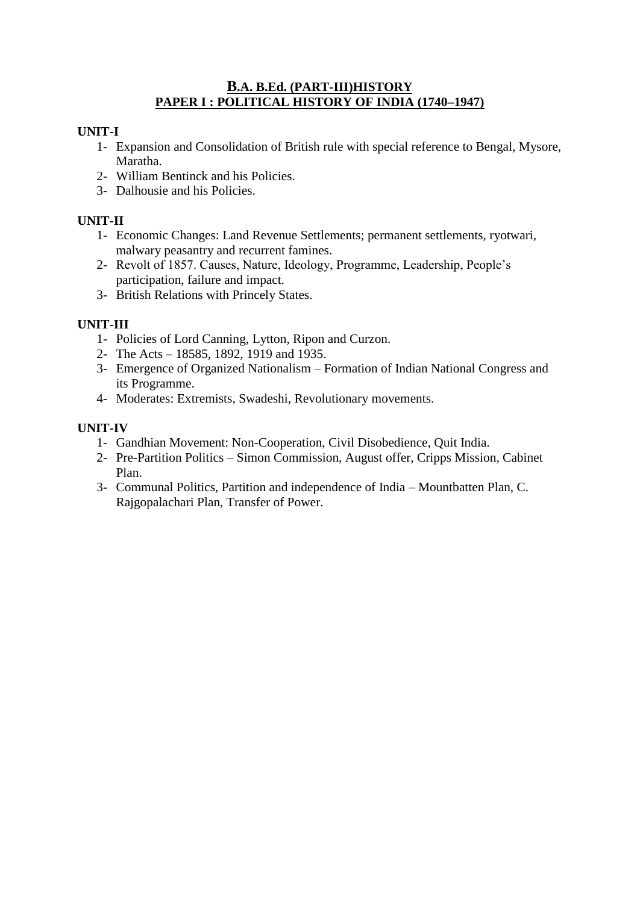# **B.A. B.Ed. (PART-III)HISTORY PAPER I : POLITICAL HISTORY OF INDIA (1740–1947)**

# **UNIT-I**

- 1- Expansion and Consolidation of British rule with special reference to Bengal, Mysore, Maratha.
- 2- William Bentinck and his Policies.
- 3- Dalhousie and his Policies.

# **UNIT-II**

- 1- Economic Changes: Land Revenue Settlements; permanent settlements, ryotwari, malwary peasantry and recurrent famines.
- 2- Revolt of 1857. Causes, Nature, Ideology, Programme, Leadership, People's participation, failure and impact.
- 3- British Relations with Princely States.

# **UNIT-III**

- 1- Policies of Lord Canning, Lytton, Ripon and Curzon.
- 2- The Acts 18585, 1892, 1919 and 1935.
- 3- Emergence of Organized Nationalism Formation of Indian National Congress and its Programme.
- 4- Moderates: Extremists, Swadeshi, Revolutionary movements.

# **UNIT-IV**

- 1- Gandhian Movement: Non-Cooperation, Civil Disobedience, Quit India.
- 2- Pre-Partition Politics Simon Commission, August offer, Cripps Mission, Cabinet Plan.
- 3- Communal Politics, Partition and independence of India Mountbatten Plan, C. Rajgopalachari Plan, Transfer of Power.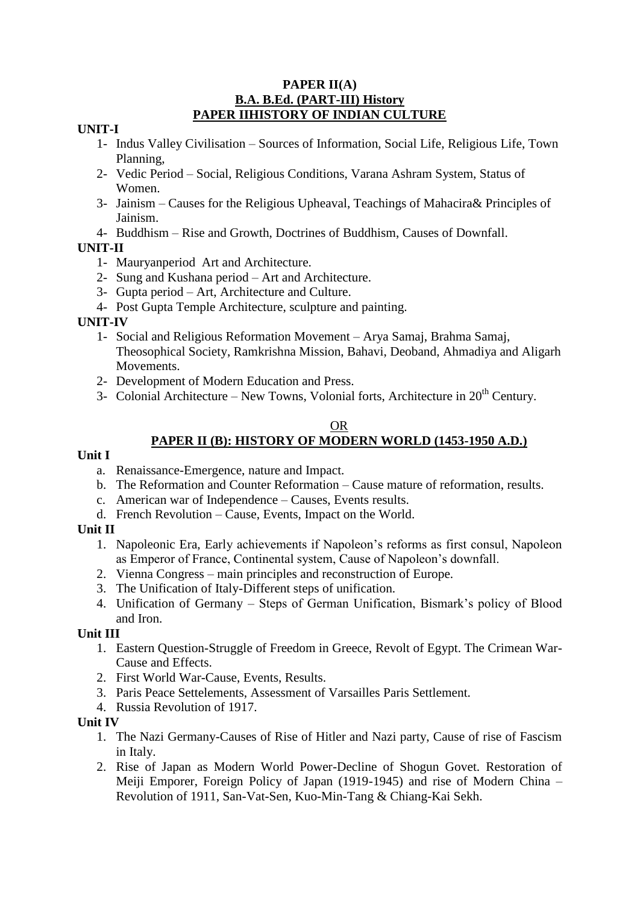## **PAPER II(A) B.A. B.Ed. (PART-III) History PAPER IIHISTORY OF INDIAN CULTURE**

## **UNIT-I**

- 1- Indus Valley Civilisation Sources of Information, Social Life, Religious Life, Town Planning,
- 2- Vedic Period Social, Religious Conditions, Varana Ashram System, Status of Women.
- 3- Jainism Causes for the Religious Upheaval, Teachings of Mahacira& Principles of Jainism.
- 4- Buddhism Rise and Growth, Doctrines of Buddhism, Causes of Downfall.

# **UNIT-II**

- 1- Mauryanperiod Art and Architecture.
- 2- Sung and Kushana period Art and Architecture.
- 3- Gupta period Art, Architecture and Culture.
- 4- Post Gupta Temple Architecture, sculpture and painting.

# **UNIT-IV**

- 1- Social and Religious Reformation Movement Arya Samaj, Brahma Samaj, Theosophical Society, Ramkrishna Mission, Bahavi, Deoband, Ahmadiya and Aligarh Movements.
- 2- Development of Modern Education and Press.
- 3- Colonial Architecture New Towns, Volonial forts, Architecture in  $20<sup>th</sup>$  Century.

# OR

# **PAPER II (B): HISTORY OF MODERN WORLD (1453-1950 A.D.)**

# **Unit I**

- a. Renaissance-Emergence, nature and Impact.
- b. The Reformation and Counter Reformation Cause mature of reformation, results.
- c. American war of Independence Causes, Events results.
- d. French Revolution Cause, Events, Impact on the World.

# **Unit II**

- 1. Napoleonic Era, Early achievements if Napoleon's reforms as first consul, Napoleon as Emperor of France, Continental system, Cause of Napoleon's downfall.
- 2. Vienna Congress main principles and reconstruction of Europe.
- 3. The Unification of Italy-Different steps of unification.
- 4. Unification of Germany Steps of German Unification, Bismark's policy of Blood and Iron.

# **Unit III**

- 1. Eastern Question-Struggle of Freedom in Greece, Revolt of Egypt. The Crimean War-Cause and Effects.
- 2. First World War-Cause, Events, Results.
- 3. Paris Peace Settelements, Assessment of Varsailles Paris Settlement.
- 4. Russia Revolution of 1917.

# **Unit IV**

- 1. The Nazi Germany-Causes of Rise of Hitler and Nazi party, Cause of rise of Fascism in Italy.
- 2. Rise of Japan as Modern World Power-Decline of Shogun Govet. Restoration of Meiji Emporer, Foreign Policy of Japan (1919-1945) and rise of Modern China – Revolution of 1911, San-Vat-Sen, Kuo-Min-Tang & Chiang-Kai Sekh.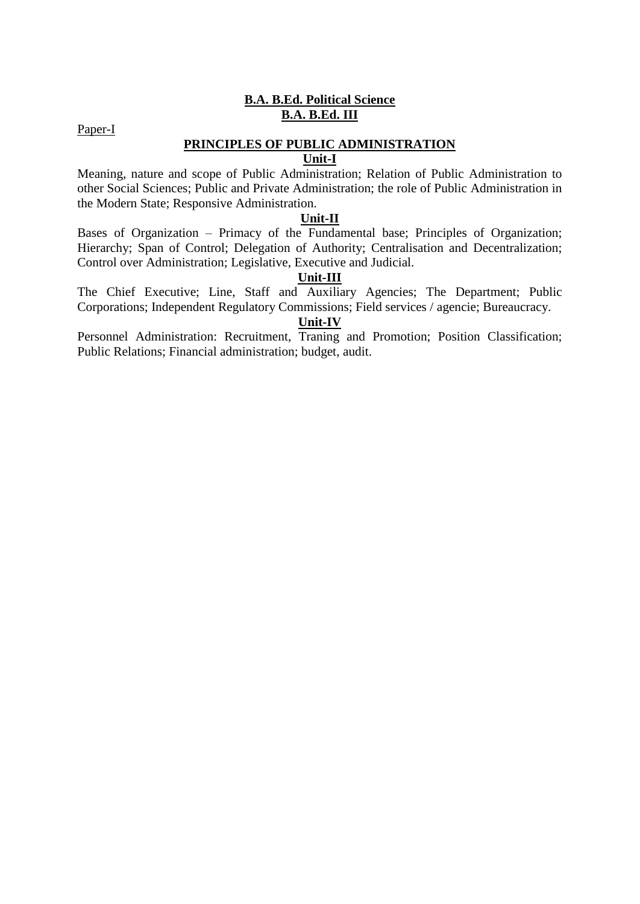# **B.A. B.Ed. Political Science B.A. B.Ed. III**

Paper-I

# **PRINCIPLES OF PUBLIC ADMINISTRATION**

# **Unit-I**

Meaning, nature and scope of Public Administration; Relation of Public Administration to other Social Sciences; Public and Private Administration; the role of Public Administration in the Modern State; Responsive Administration.

## **Unit-II**

Bases of Organization – Primacy of the Fundamental base; Principles of Organization; Hierarchy; Span of Control; Delegation of Authority; Centralisation and Decentralization; Control over Administration; Legislative, Executive and Judicial.

# **Unit-III**

The Chief Executive; Line, Staff and Auxiliary Agencies; The Department; Public Corporations; Independent Regulatory Commissions; Field services / agencie; Bureaucracy.

# **Unit-IV**

Personnel Administration: Recruitment, Traning and Promotion; Position Classification; Public Relations; Financial administration; budget, audit.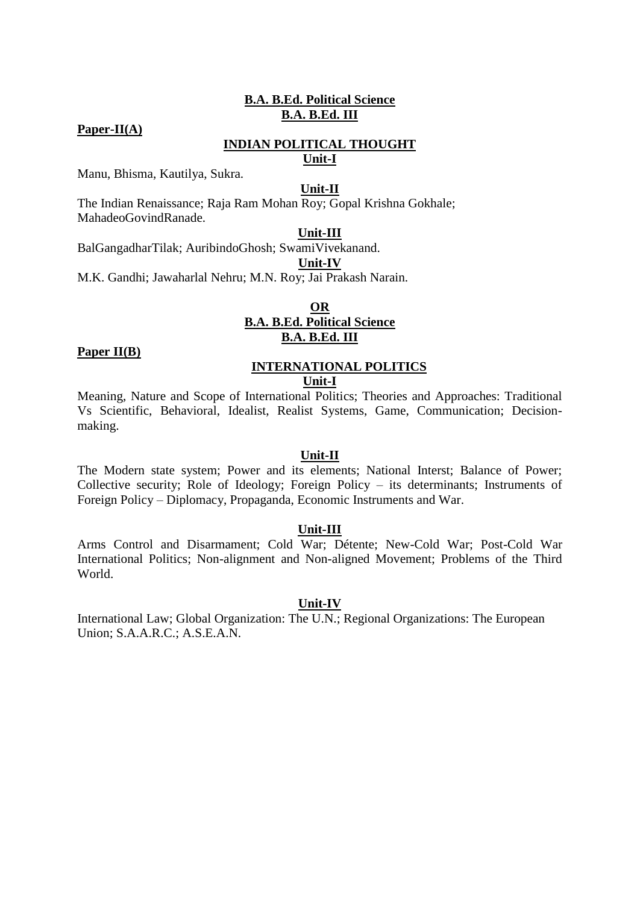## **B.A. B.Ed. Political Science B.A. B.Ed. III**

## **Paper-II(A)**

# **INDIAN POLITICAL THOUGHT**

# **Unit-I**

Manu, Bhisma, Kautilya, Sukra.

#### **Unit-II**

The Indian Renaissance; Raja Ram Mohan Roy; Gopal Krishna Gokhale; MahadeoGovindRanade.

## **Unit-III**

BalGangadharTilak; AuribindoGhosh; SwamiVivekanand.

**Unit-IV**

M.K. Gandhi; Jawaharlal Nehru; M.N. Roy; Jai Prakash Narain.

## **OR B.A. B.Ed. Political Science B.A. B.Ed. III**

## **Paper II(B)**

#### **INTERNATIONAL POLITICS Unit-I**

Meaning, Nature and Scope of International Politics; Theories and Approaches: Traditional Vs Scientific, Behavioral, Idealist, Realist Systems, Game, Communication; Decisionmaking.

## **Unit-II**

The Modern state system; Power and its elements; National Interst; Balance of Power; Collective security; Role of Ideology; Foreign Policy – its determinants; Instruments of Foreign Policy – Diplomacy, Propaganda, Economic Instruments and War.

#### **Unit-III**

Arms Control and Disarmament; Cold War; Détente; New-Cold War; Post-Cold War International Politics; Non-alignment and Non-aligned Movement; Problems of the Third World.

#### **Unit-IV**

International Law; Global Organization: The U.N.; Regional Organizations: The European Union; S.A.A.R.C.; A.S.E.A.N.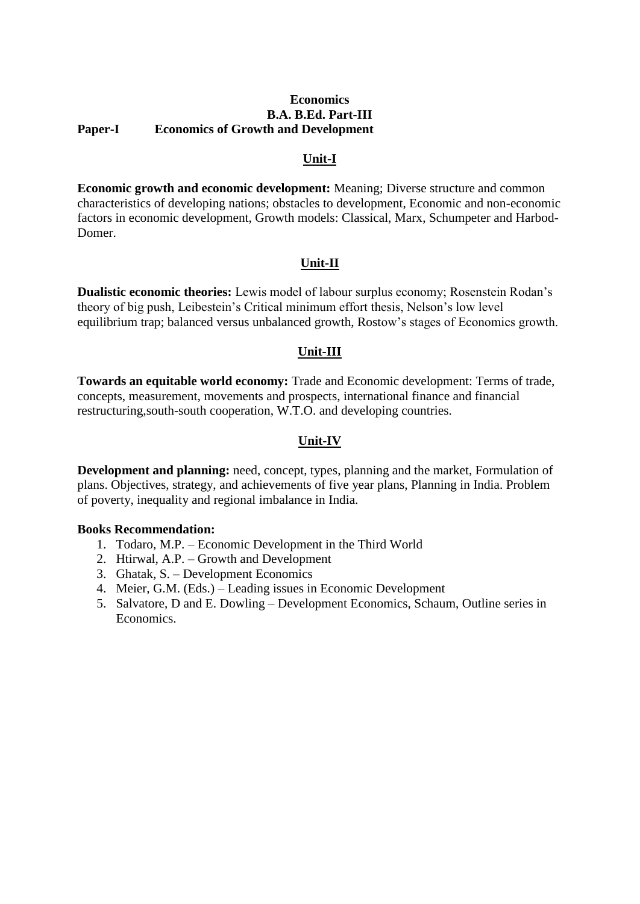## **Economics B.A. B.Ed. Part-III Paper-I Economics of Growth and Development**

# **Unit-I**

**Economic growth and economic development:** Meaning; Diverse structure and common characteristics of developing nations; obstacles to development, Economic and non-economic factors in economic development, Growth models: Classical, Marx, Schumpeter and Harbod-Domer.

## **Unit-II**

**Dualistic economic theories:** Lewis model of labour surplus economy; Rosenstein Rodan's theory of big push, Leibestein's Critical minimum effort thesis, Nelson's low level equilibrium trap; balanced versus unbalanced growth, Rostow's stages of Economics growth.

## **Unit-III**

**Towards an equitable world economy:** Trade and Economic development: Terms of trade, concepts, measurement, movements and prospects, international finance and financial restructuring,south-south cooperation, W.T.O. and developing countries.

# **Unit-IV**

**Development and planning:** need, concept, types, planning and the market, Formulation of plans. Objectives, strategy, and achievements of five year plans, Planning in India. Problem of poverty, inequality and regional imbalance in India.

## **Books Recommendation:**

- 1. Todaro, M.P. Economic Development in the Third World
- 2. Htirwal, A.P. Growth and Development
- 3. Ghatak, S. Development Economics
- 4. Meier, G.M. (Eds.) Leading issues in Economic Development
- 5. Salvatore, D and E. Dowling Development Economics, Schaum, Outline series in Economics.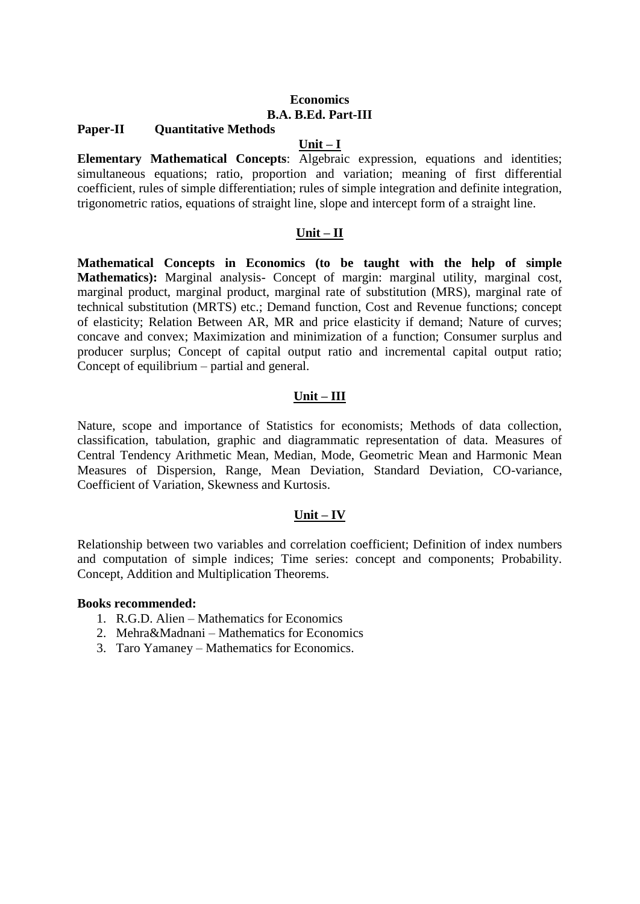## **Economics B.A. B.Ed. Part-III**

## **Paper-II Quantitative Methods**

## **Unit – I**

**Elementary Mathematical Concepts**: Algebraic expression, equations and identities; simultaneous equations; ratio, proportion and variation; meaning of first differential coefficient, rules of simple differentiation; rules of simple integration and definite integration, trigonometric ratios, equations of straight line, slope and intercept form of a straight line.

## **Unit – II**

**Mathematical Concepts in Economics (to be taught with the help of simple Mathematics):** Marginal analysis- Concept of margin: marginal utility, marginal cost, marginal product, marginal product, marginal rate of substitution (MRS), marginal rate of technical substitution (MRTS) etc.; Demand function, Cost and Revenue functions; concept of elasticity; Relation Between AR, MR and price elasticity if demand; Nature of curves; concave and convex; Maximization and minimization of a function; Consumer surplus and producer surplus; Concept of capital output ratio and incremental capital output ratio; Concept of equilibrium – partial and general.

## **Unit – III**

Nature, scope and importance of Statistics for economists; Methods of data collection, classification, tabulation, graphic and diagrammatic representation of data. Measures of Central Tendency Arithmetic Mean, Median, Mode, Geometric Mean and Harmonic Mean Measures of Dispersion, Range, Mean Deviation, Standard Deviation, CO-variance, Coefficient of Variation, Skewness and Kurtosis.

## **Unit – IV**

Relationship between two variables and correlation coefficient; Definition of index numbers and computation of simple indices; Time series: concept and components; Probability. Concept, Addition and Multiplication Theorems.

## **Books recommended:**

- 1. R.G.D. Alien Mathematics for Economics
- 2. Mehra&Madnani Mathematics for Economics
- 3. Taro Yamaney Mathematics for Economics.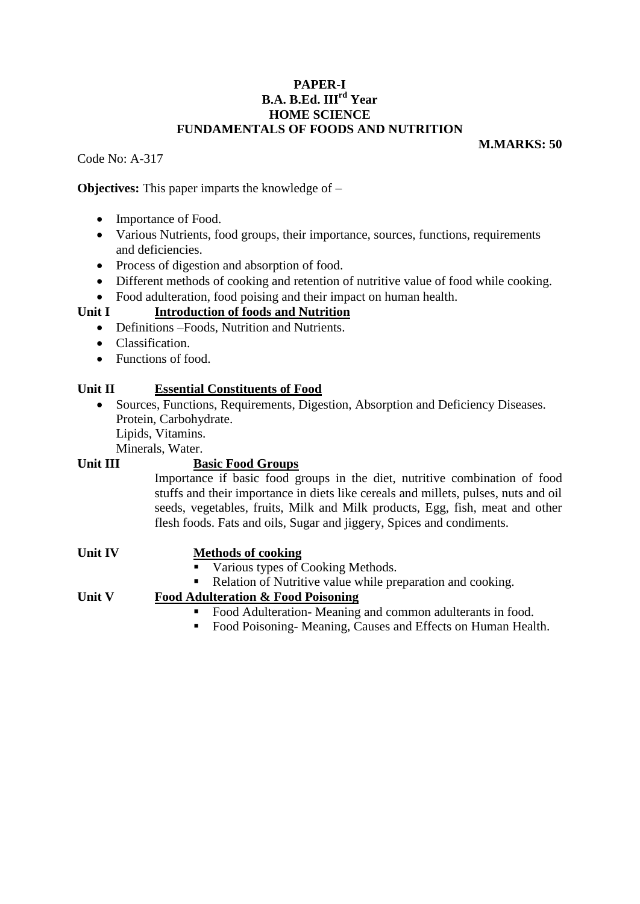## **PAPER-I B.A. B.Ed. IIIrd Year HOME SCIENCE FUNDAMENTALS OF FOODS AND NUTRITION**

Code No: A-317

**M.MARKS: 50**

**Objectives:** This paper imparts the knowledge of –

- Importance of Food.
- Various Nutrients, food groups, their importance, sources, functions, requirements and deficiencies.
- Process of digestion and absorption of food.
- Different methods of cooking and retention of nutritive value of food while cooking.
- Food adulteration, food poising and their impact on human health.

# **Unit I Introduction of foods and Nutrition**

- Definitions Foods, Nutrition and Nutrients.
- Classification.
- Functions of food.

## **Unit II Essential Constituents of Food**

 Sources, Functions, Requirements, Digestion, Absorption and Deficiency Diseases. Protein, Carbohydrate. Lipids, Vitamins.

Minerals, Water.

# **Unit III Basic Food Groups**

Importance if basic food groups in the diet, nutritive combination of food stuffs and their importance in diets like cereals and millets, pulses, nuts and oil seeds, vegetables, fruits, Milk and Milk products, Egg, fish, meat and other flesh foods. Fats and oils, Sugar and jiggery, Spices and condiments.

| <b>Unit IV</b> | <b>Methods of cooking</b>                                                      |
|----------------|--------------------------------------------------------------------------------|
|                | • Various types of Cooking Methods.                                            |
|                | • Relation of Nutritive value while preparation and cooking.                   |
| Unit V         | <b>Food Adulteration &amp; Food Poisoning</b>                                  |
|                | Food Adulteration Meaning and common adulterants in food.                      |
|                | Food Poisoning-Meaning, Causes and Effects on Human Health.<br><b>Contract</b> |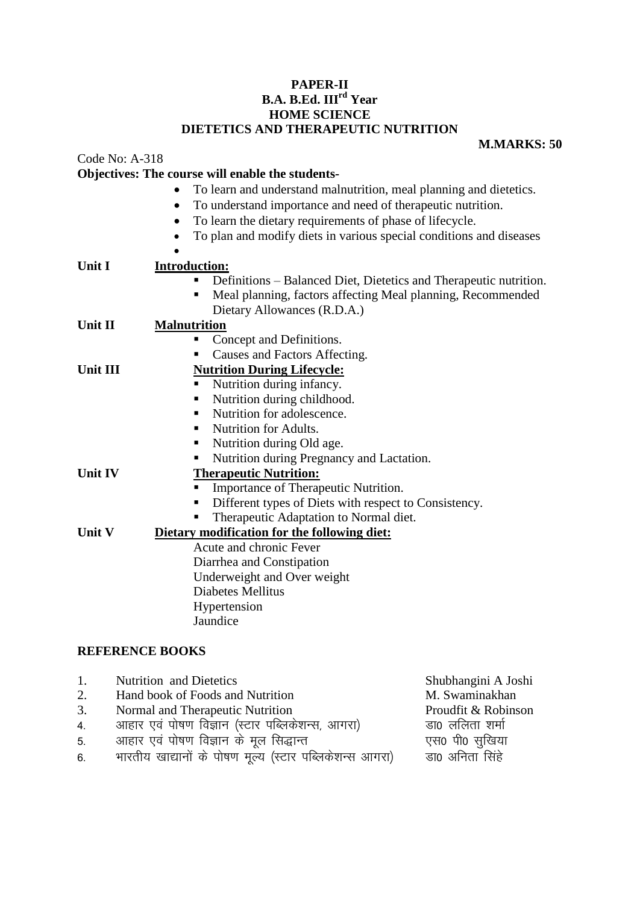## **PAPER-II B.A. B.Ed. IIIrd Year HOME SCIENCE DIETETICS AND THERAPEUTIC NUTRITION**

## **M.MARKS: 50**

|                                       | Objectives: The course will enable the students-                                |  |  |  |  |
|---------------------------------------|---------------------------------------------------------------------------------|--|--|--|--|
|                                       | To learn and understand malnutrition, meal planning and dietetics.<br>$\bullet$ |  |  |  |  |
|                                       | To understand importance and need of therapeutic nutrition.<br>$\bullet$        |  |  |  |  |
|                                       | To learn the dietary requirements of phase of lifecycle.<br>$\bullet$           |  |  |  |  |
|                                       | To plan and modify diets in various special conditions and diseases             |  |  |  |  |
|                                       |                                                                                 |  |  |  |  |
| Unit I                                | <b>Introduction:</b>                                                            |  |  |  |  |
|                                       | Definitions - Balanced Diet, Dietetics and Therapeutic nutrition.               |  |  |  |  |
|                                       | Meal planning, factors affecting Meal planning, Recommended<br>п                |  |  |  |  |
|                                       | Dietary Allowances (R.D.A.)                                                     |  |  |  |  |
| <b>Malnutrition</b><br><b>Unit II</b> |                                                                                 |  |  |  |  |
|                                       | Concept and Definitions.                                                        |  |  |  |  |
|                                       | Causes and Factors Affecting.<br>Е                                              |  |  |  |  |
| <b>Unit III</b>                       | <b>Nutrition During Lifecycle:</b>                                              |  |  |  |  |
|                                       | Nutrition during infancy.<br>ш                                                  |  |  |  |  |
|                                       | Nutrition during childhood.<br>٠                                                |  |  |  |  |
|                                       | Nutrition for adolescence.<br>п                                                 |  |  |  |  |
|                                       | Nutrition for Adults.<br>٠                                                      |  |  |  |  |
|                                       | Nutrition during Old age.<br>ш                                                  |  |  |  |  |
|                                       | Nutrition during Pregnancy and Lactation.                                       |  |  |  |  |
| Unit IV                               | <b>Therapeutic Nutrition:</b>                                                   |  |  |  |  |
|                                       | Importance of Therapeutic Nutrition.                                            |  |  |  |  |
|                                       | Different types of Diets with respect to Consistency.                           |  |  |  |  |
|                                       | Therapeutic Adaptation to Normal diet.                                          |  |  |  |  |
| <b>Unit V</b>                         | Dietary modification for the following diet:                                    |  |  |  |  |
|                                       | Acute and chronic Fever                                                         |  |  |  |  |
|                                       | Diarrhea and Constipation                                                       |  |  |  |  |
|                                       | Underweight and Over weight                                                     |  |  |  |  |
|                                       | Diabetes Mellitus                                                               |  |  |  |  |
|                                       | Hypertension                                                                    |  |  |  |  |
|                                       | Jaundice                                                                        |  |  |  |  |
|                                       |                                                                                 |  |  |  |  |

# **REFERENCE BOOKS**

Code No: A-318

| 1. | <b>Nutrition</b> and Dietetics                                                                                  | Shubhangini A Joshi |
|----|-----------------------------------------------------------------------------------------------------------------|---------------------|
| 2. | Hand book of Foods and Nutrition                                                                                | M. Swaminakhan      |
| 3. | Normal and Therapeutic Nutrition                                                                                | Proudfit & Robinson |
| 4. | आहार एवं पोषण विज्ञान (स्टार पब्लिकेशन्स, आगरा)                                                                 | डा0 ललिता शर्मा     |
| 5. | आहार एवं पोषण विज्ञान के मूल सिद्धान्त                                                                          | एस0 पी0 सुखिया      |
|    | rested to the contract of the contract of the contract of the contract of the contract of the contract of the c |                     |

6. भारतीय खाद्यानों के पोषण मूल्य (स्टार पब्लिकेशन्स आगरा) डा० अनिता सिंहे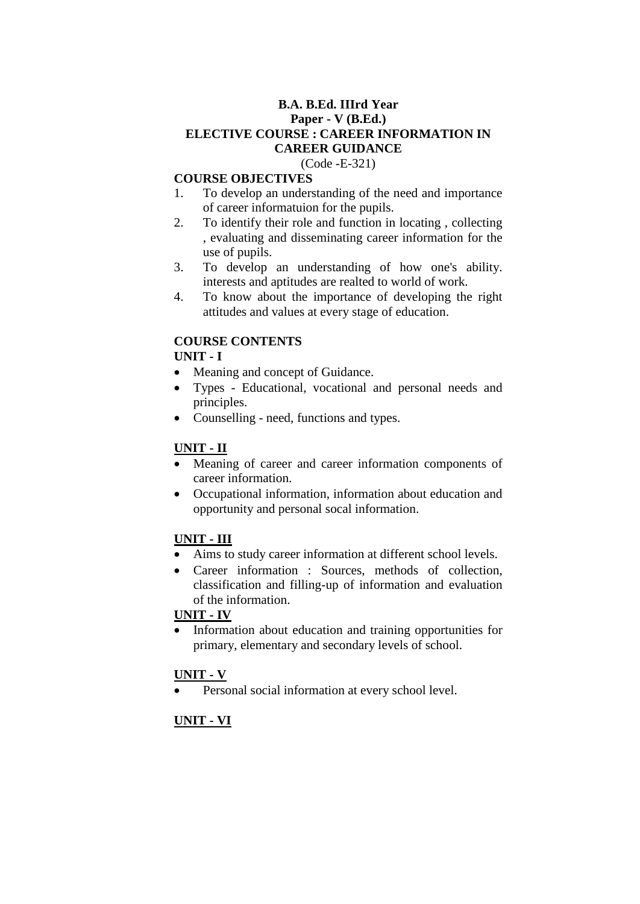## **B.A. B.Ed. IIIrd Year Paper - V (B.Ed.) ELECTIVE COURSE : CAREER INFORMATION IN CAREER GUIDANCE**  (Code -E-321)

## **COURSE OBJECTIVES**

- 1. To develop an understanding of the need and importance of career informatuion for the pupils.
- 2. To identify their role and function in locating , collecting , evaluating and disseminating career information for the use of pupils.
- 3. To develop an understanding of how one's ability. interests and aptitudes are realted to world of work.
- 4. To know about the importance of developing the right attitudes and values at every stage of education.

# **COURSE CONTENTS**

## **UNIT - I**

- Meaning and concept of Guidance.
- Types Educational, vocational and personal needs and principles.
- Counselling need, functions and types.

# **UNIT - II**

- Meaning of career and career information components of career information.
- Occupational information, information about education and opportunity and personal socal information.

# **UNIT - III**

- Aims to study career information at different school levels.
- Career information : Sources, methods of collection, classification and filling-up of information and evaluation of the information.

# **UNIT - IV**

 Information about education and training opportunities for primary, elementary and secondary levels of school.

# **UNIT - V**

Personal social information at every school level.

# **UNIT - VI**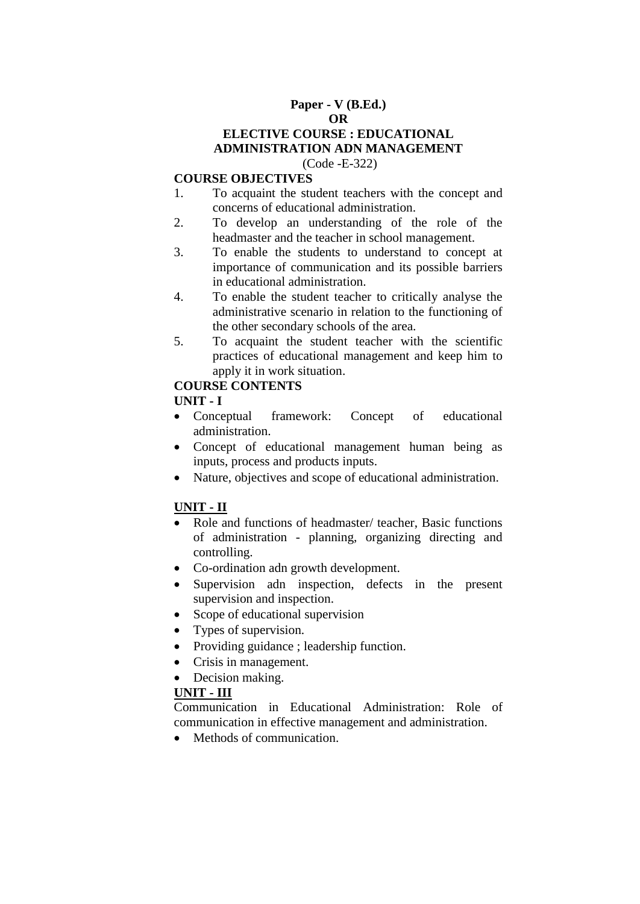## **Paper - V (B.Ed.) OR**

## **ELECTIVE COURSE : EDUCATIONAL ADMINISTRATION ADN MANAGEMENT**  (Code -E-322)

## **COURSE OBJECTIVES**

- 1. To acquaint the student teachers with the concept and concerns of educational administration.
- 2. To develop an understanding of the role of the headmaster and the teacher in school management.
- 3. To enable the students to understand to concept at importance of communication and its possible barriers in educational administration.
- 4. To enable the student teacher to critically analyse the administrative scenario in relation to the functioning of the other secondary schools of the area.
- 5. To acquaint the student teacher with the scientific practices of educational management and keep him to apply it in work situation.

## **COURSE CONTENTS**

## **UNIT - I**

- Conceptual framework: Concept of educational administration.
- Concept of educational management human being as inputs, process and products inputs.
- Nature, objectives and scope of educational administration.

# **UNIT - II**

- Role and functions of headmaster/ teacher, Basic functions of administration - planning, organizing directing and controlling.
- Co-ordination adn growth development.
- Supervision adn inspection, defects in the present supervision and inspection.
- Scope of educational supervision
- Types of supervision.
- Providing guidance ; leadership function.
- Crisis in management.
- Decision making.

## **UNIT - III**

Communication in Educational Administration: Role of communication in effective management and administration.

• Methods of communication.